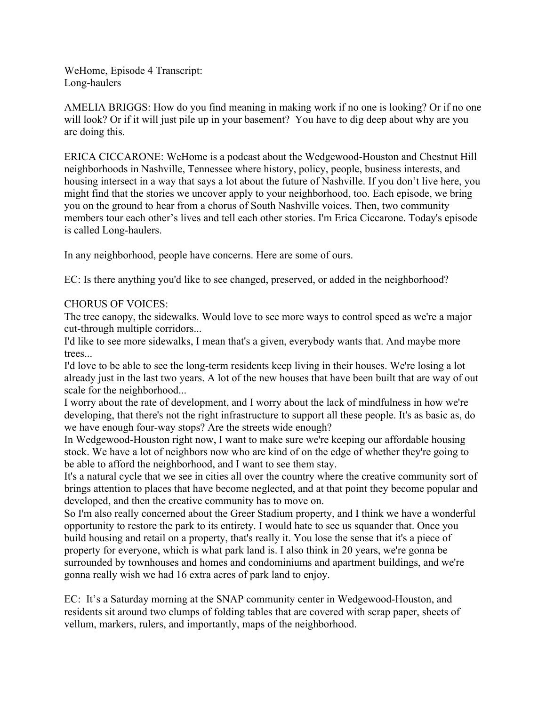WeHome, Episode 4 Transcript: Long-haulers

AMELIA BRIGGS: How do you find meaning in making work if no one is looking? Or if no one will look? Or if it will just pile up in your basement? You have to dig deep about why are you are doing this.

ERICA CICCARONE: WeHome is a podcast about the Wedgewood-Houston and Chestnut Hill neighborhoods in Nashville, Tennessee where history, policy, people, business interests, and housing intersect in a way that says a lot about the future of Nashville. If you don't live here, you might find that the stories we uncover apply to your neighborhood, too. Each episode, we bring you on the ground to hear from a chorus of South Nashville voices. Then, two community members tour each other's lives and tell each other stories. I'm Erica Ciccarone. Today's episode is called Long-haulers.

In any neighborhood, people have concerns. Here are some of ours.

EC: Is there anything you'd like to see changed, preserved, or added in the neighborhood?

## CHORUS OF VOICES:

The tree canopy, the sidewalks. Would love to see more ways to control speed as we're a major cut-through multiple corridors...

I'd like to see more sidewalks, I mean that's a given, everybody wants that. And maybe more trees...

I'd love to be able to see the long-term residents keep living in their houses. We're losing a lot already just in the last two years. A lot of the new houses that have been built that are way of out scale for the neighborhood...

I worry about the rate of development, and I worry about the lack of mindfulness in how we're developing, that there's not the right infrastructure to support all these people. It's as basic as, do we have enough four-way stops? Are the streets wide enough?

In Wedgewood-Houston right now, I want to make sure we're keeping our affordable housing stock. We have a lot of neighbors now who are kind of on the edge of whether they're going to be able to afford the neighborhood, and I want to see them stay.

It's a natural cycle that we see in cities all over the country where the creative community sort of brings attention to places that have become neglected, and at that point they become popular and developed, and then the creative community has to move on.

So I'm also really concerned about the Greer Stadium property, and I think we have a wonderful opportunity to restore the park to its entirety. I would hate to see us squander that. Once you build housing and retail on a property, that's really it. You lose the sense that it's a piece of property for everyone, which is what park land is. I also think in 20 years, we're gonna be surrounded by townhouses and homes and condominiums and apartment buildings, and we're gonna really wish we had 16 extra acres of park land to enjoy.

EC: It's a Saturday morning at the SNAP community center in Wedgewood-Houston, and residents sit around two clumps of folding tables that are covered with scrap paper, sheets of vellum, markers, rulers, and importantly, maps of the neighborhood.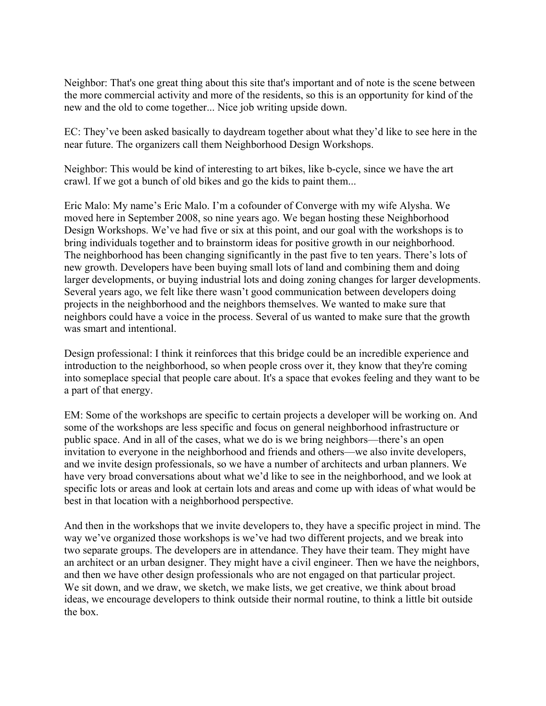Neighbor: That's one great thing about this site that's important and of note is the scene between the more commercial activity and more of the residents, so this is an opportunity for kind of the new and the old to come together... Nice job writing upside down.

EC: They've been asked basically to daydream together about what they'd like to see here in the near future. The organizers call them Neighborhood Design Workshops.

Neighbor: This would be kind of interesting to art bikes, like b-cycle, since we have the art crawl. If we got a bunch of old bikes and go the kids to paint them...

Eric Malo: My name's Eric Malo. I'm a cofounder of Converge with my wife Alysha. We moved here in September 2008, so nine years ago. We began hosting these Neighborhood Design Workshops. We've had five or six at this point, and our goal with the workshops is to bring individuals together and to brainstorm ideas for positive growth in our neighborhood. The neighborhood has been changing significantly in the past five to ten years. There's lots of new growth. Developers have been buying small lots of land and combining them and doing larger developments, or buying industrial lots and doing zoning changes for larger developments. Several years ago, we felt like there wasn't good communication between developers doing projects in the neighborhood and the neighbors themselves. We wanted to make sure that neighbors could have a voice in the process. Several of us wanted to make sure that the growth was smart and intentional.

Design professional: I think it reinforces that this bridge could be an incredible experience and introduction to the neighborhood, so when people cross over it, they know that they're coming into someplace special that people care about. It's a space that evokes feeling and they want to be a part of that energy.

EM: Some of the workshops are specific to certain projects a developer will be working on. And some of the workshops are less specific and focus on general neighborhood infrastructure or public space. And in all of the cases, what we do is we bring neighbors––there's an open invitation to everyone in the neighborhood and friends and others––we also invite developers, and we invite design professionals, so we have a number of architects and urban planners. We have very broad conversations about what we'd like to see in the neighborhood, and we look at specific lots or areas and look at certain lots and areas and come up with ideas of what would be best in that location with a neighborhood perspective.

And then in the workshops that we invite developers to, they have a specific project in mind. The way we've organized those workshops is we've had two different projects, and we break into two separate groups. The developers are in attendance. They have their team. They might have an architect or an urban designer. They might have a civil engineer. Then we have the neighbors, and then we have other design professionals who are not engaged on that particular project. We sit down, and we draw, we sketch, we make lists, we get creative, we think about broad ideas, we encourage developers to think outside their normal routine, to think a little bit outside the box.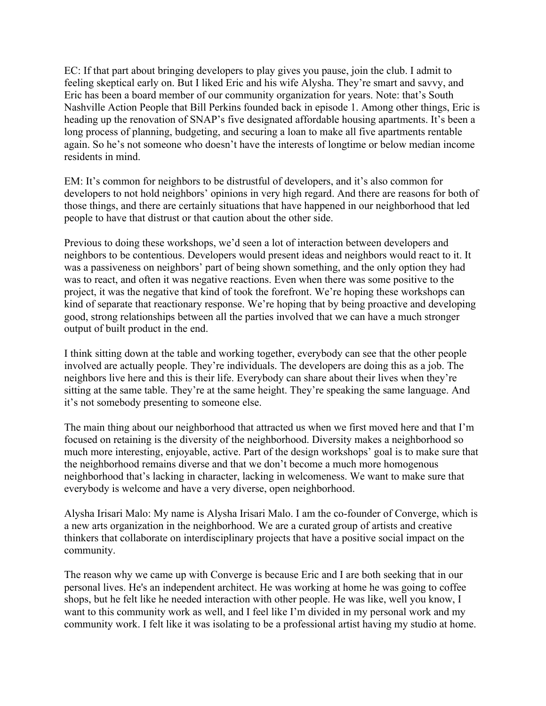EC: If that part about bringing developers to play gives you pause, join the club. I admit to feeling skeptical early on. But I liked Eric and his wife Alysha. They're smart and savvy, and Eric has been a board member of our community organization for years. Note: that's South Nashville Action People that Bill Perkins founded back in episode 1. Among other things, Eric is heading up the renovation of SNAP's five designated affordable housing apartments. It's been a long process of planning, budgeting, and securing a loan to make all five apartments rentable again. So he's not someone who doesn't have the interests of longtime or below median income residents in mind.

EM: It's common for neighbors to be distrustful of developers, and it's also common for developers to not hold neighbors' opinions in very high regard. And there are reasons for both of those things, and there are certainly situations that have happened in our neighborhood that led people to have that distrust or that caution about the other side.

Previous to doing these workshops, we'd seen a lot of interaction between developers and neighbors to be contentious. Developers would present ideas and neighbors would react to it. It was a passiveness on neighbors' part of being shown something, and the only option they had was to react, and often it was negative reactions. Even when there was some positive to the project, it was the negative that kind of took the forefront. We're hoping these workshops can kind of separate that reactionary response. We're hoping that by being proactive and developing good, strong relationships between all the parties involved that we can have a much stronger output of built product in the end.

I think sitting down at the table and working together, everybody can see that the other people involved are actually people. They're individuals. The developers are doing this as a job. The neighbors live here and this is their life. Everybody can share about their lives when they're sitting at the same table. They're at the same height. They're speaking the same language. And it's not somebody presenting to someone else.

The main thing about our neighborhood that attracted us when we first moved here and that I'm focused on retaining is the diversity of the neighborhood. Diversity makes a neighborhood so much more interesting, enjoyable, active. Part of the design workshops' goal is to make sure that the neighborhood remains diverse and that we don't become a much more homogenous neighborhood that's lacking in character, lacking in welcomeness. We want to make sure that everybody is welcome and have a very diverse, open neighborhood.

Alysha Irisari Malo: My name is Alysha Irisari Malo. I am the co-founder of Converge, which is a new arts organization in the neighborhood. We are a curated group of artists and creative thinkers that collaborate on interdisciplinary projects that have a positive social impact on the community.

The reason why we came up with Converge is because Eric and I are both seeking that in our personal lives. He's an independent architect. He was working at home he was going to coffee shops, but he felt like he needed interaction with other people. He was like, well you know, I want to this community work as well, and I feel like I'm divided in my personal work and my community work. I felt like it was isolating to be a professional artist having my studio at home.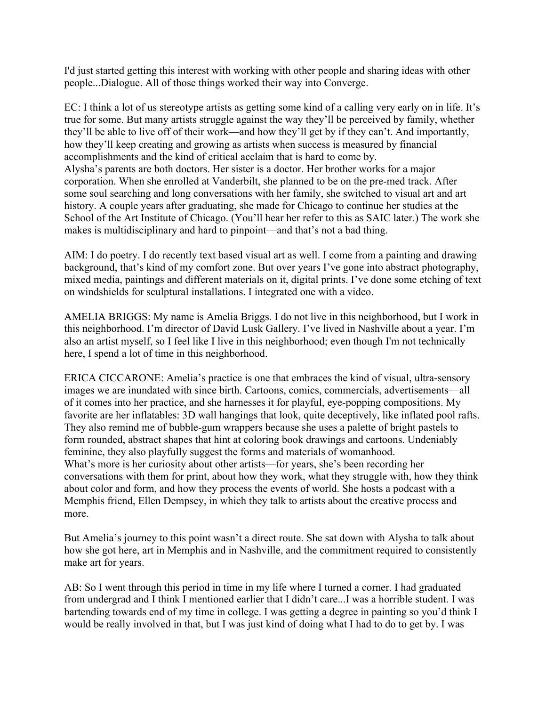I'd just started getting this interest with working with other people and sharing ideas with other people...Dialogue. All of those things worked their way into Converge.

EC: I think a lot of us stereotype artists as getting some kind of a calling very early on in life. It's true for some. But many artists struggle against the way they'll be perceived by family, whether they'll be able to live off of their work––and how they'll get by if they can't. And importantly, how they'll keep creating and growing as artists when success is measured by financial accomplishments and the kind of critical acclaim that is hard to come by. Alysha's parents are both doctors. Her sister is a doctor. Her brother works for a major corporation. When she enrolled at Vanderbilt, she planned to be on the pre-med track. After some soul searching and long conversations with her family, she switched to visual art and art history. A couple years after graduating, she made for Chicago to continue her studies at the School of the Art Institute of Chicago. (You'll hear her refer to this as SAIC later.) The work she makes is multidisciplinary and hard to pinpoint—and that's not a bad thing.

AIM: I do poetry. I do recently text based visual art as well. I come from a painting and drawing background, that's kind of my comfort zone. But over years I've gone into abstract photography, mixed media, paintings and different materials on it, digital prints. I've done some etching of text on windshields for sculptural installations. I integrated one with a video.

AMELIA BRIGGS: My name is Amelia Briggs. I do not live in this neighborhood, but I work in this neighborhood. I'm director of David Lusk Gallery. I've lived in Nashville about a year. I'm also an artist myself, so I feel like I live in this neighborhood; even though I'm not technically here, I spend a lot of time in this neighborhood.

ERICA CICCARONE: Amelia's practice is one that embraces the kind of visual, ultra-sensory images we are inundated with since birth. Cartoons, comics, commercials, advertisements––all of it comes into her practice, and she harnesses it for playful, eye-popping compositions. My favorite are her inflatables: 3D wall hangings that look, quite deceptively, like inflated pool rafts. They also remind me of bubble-gum wrappers because she uses a palette of bright pastels to form rounded, abstract shapes that hint at coloring book drawings and cartoons. Undeniably feminine, they also playfully suggest the forms and materials of womanhood. What's more is her curiosity about other artists––for years, she's been recording her conversations with them for print, about how they work, what they struggle with, how they think about color and form, and how they process the events of world. She hosts a podcast with a Memphis friend, Ellen Dempsey, in which they talk to artists about the creative process and more.

But Amelia's journey to this point wasn't a direct route. She sat down with Alysha to talk about how she got here, art in Memphis and in Nashville, and the commitment required to consistently make art for years.

AB: So I went through this period in time in my life where I turned a corner. I had graduated from undergrad and I think I mentioned earlier that I didn't care...I was a horrible student. I was bartending towards end of my time in college. I was getting a degree in painting so you'd think I would be really involved in that, but I was just kind of doing what I had to do to get by. I was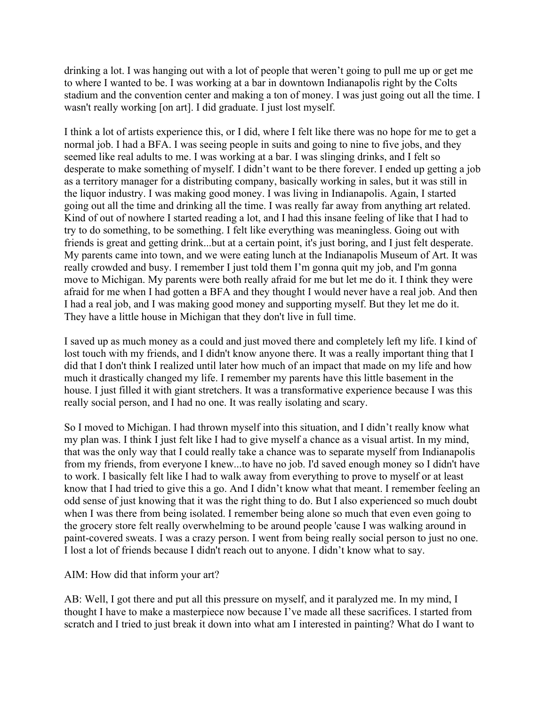drinking a lot. I was hanging out with a lot of people that weren't going to pull me up or get me to where I wanted to be. I was working at a bar in downtown Indianapolis right by the Colts stadium and the convention center and making a ton of money. I was just going out all the time. I wasn't really working [on art]. I did graduate. I just lost myself.

I think a lot of artists experience this, or I did, where I felt like there was no hope for me to get a normal job. I had a BFA. I was seeing people in suits and going to nine to five jobs, and they seemed like real adults to me. I was working at a bar. I was slinging drinks, and I felt so desperate to make something of myself. I didn't want to be there forever. I ended up getting a job as a territory manager for a distributing company, basically working in sales, but it was still in the liquor industry. I was making good money. I was living in Indianapolis. Again, I started going out all the time and drinking all the time. I was really far away from anything art related. Kind of out of nowhere I started reading a lot, and I had this insane feeling of like that I had to try to do something, to be something. I felt like everything was meaningless. Going out with friends is great and getting drink...but at a certain point, it's just boring, and I just felt desperate. My parents came into town, and we were eating lunch at the Indianapolis Museum of Art. It was really crowded and busy. I remember I just told them I'm gonna quit my job, and I'm gonna move to Michigan. My parents were both really afraid for me but let me do it. I think they were afraid for me when I had gotten a BFA and they thought I would never have a real job. And then I had a real job, and I was making good money and supporting myself. But they let me do it. They have a little house in Michigan that they don't live in full time.

I saved up as much money as a could and just moved there and completely left my life. I kind of lost touch with my friends, and I didn't know anyone there. It was a really important thing that I did that I don't think I realized until later how much of an impact that made on my life and how much it drastically changed my life. I remember my parents have this little basement in the house. I just filled it with giant stretchers. It was a transformative experience because I was this really social person, and I had no one. It was really isolating and scary.

So I moved to Michigan. I had thrown myself into this situation, and I didn't really know what my plan was. I think I just felt like I had to give myself a chance as a visual artist. In my mind, that was the only way that I could really take a chance was to separate myself from Indianapolis from my friends, from everyone I knew...to have no job. I'd saved enough money so I didn't have to work. I basically felt like I had to walk away from everything to prove to myself or at least know that I had tried to give this a go. And I didn't know what that meant. I remember feeling an odd sense of just knowing that it was the right thing to do. But I also experienced so much doubt when I was there from being isolated. I remember being alone so much that even even going to the grocery store felt really overwhelming to be around people 'cause I was walking around in paint-covered sweats. I was a crazy person. I went from being really social person to just no one. I lost a lot of friends because I didn't reach out to anyone. I didn't know what to say.

## AIM: How did that inform your art?

AB: Well, I got there and put all this pressure on myself, and it paralyzed me. In my mind, I thought I have to make a masterpiece now because I've made all these sacrifices. I started from scratch and I tried to just break it down into what am I interested in painting? What do I want to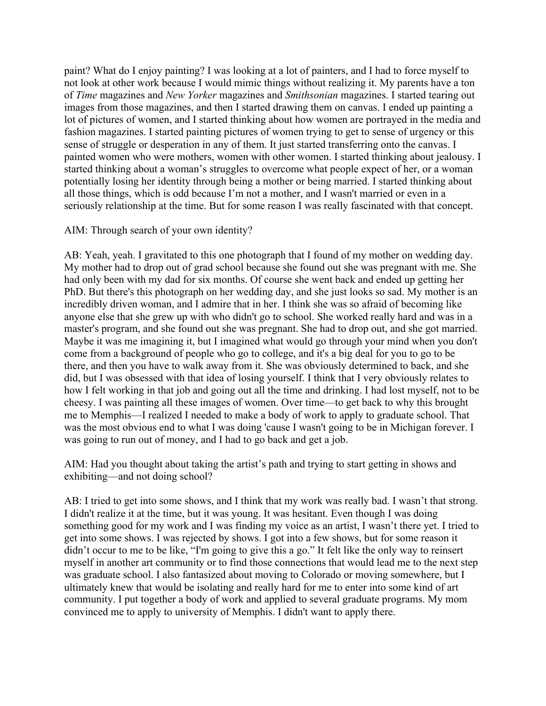paint? What do I enjoy painting? I was looking at a lot of painters, and I had to force myself to not look at other work because I would mimic things without realizing it. My parents have a ton of *Time* magazines and *New Yorker* magazines and *Smithsonian* magazines. I started tearing out images from those magazines, and then I started drawing them on canvas. I ended up painting a lot of pictures of women, and I started thinking about how women are portrayed in the media and fashion magazines. I started painting pictures of women trying to get to sense of urgency or this sense of struggle or desperation in any of them. It just started transferring onto the canvas. I painted women who were mothers, women with other women. I started thinking about jealousy. I started thinking about a woman's struggles to overcome what people expect of her, or a woman potentially losing her identity through being a mother or being married. I started thinking about all those things, which is odd because I'm not a mother, and I wasn't married or even in a seriously relationship at the time. But for some reason I was really fascinated with that concept.

## AIM: Through search of your own identity?

AB: Yeah, yeah. I gravitated to this one photograph that I found of my mother on wedding day. My mother had to drop out of grad school because she found out she was pregnant with me. She had only been with my dad for six months. Of course she went back and ended up getting her PhD. But there's this photograph on her wedding day, and she just looks so sad. My mother is an incredibly driven woman, and I admire that in her. I think she was so afraid of becoming like anyone else that she grew up with who didn't go to school. She worked really hard and was in a master's program, and she found out she was pregnant. She had to drop out, and she got married. Maybe it was me imagining it, but I imagined what would go through your mind when you don't come from a background of people who go to college, and it's a big deal for you to go to be there, and then you have to walk away from it. She was obviously determined to back, and she did, but I was obsessed with that idea of losing yourself. I think that I very obviously relates to how I felt working in that job and going out all the time and drinking. I had lost myself, not to be cheesy. I was painting all these images of women. Over time––to get back to why this brought me to Memphis––I realized I needed to make a body of work to apply to graduate school. That was the most obvious end to what I was doing 'cause I wasn't going to be in Michigan forever. I was going to run out of money, and I had to go back and get a job.

AIM: Had you thought about taking the artist's path and trying to start getting in shows and exhibiting––and not doing school?

AB: I tried to get into some shows, and I think that my work was really bad. I wasn't that strong. I didn't realize it at the time, but it was young. It was hesitant. Even though I was doing something good for my work and I was finding my voice as an artist, I wasn't there yet. I tried to get into some shows. I was rejected by shows. I got into a few shows, but for some reason it didn't occur to me to be like, "I'm going to give this a go." It felt like the only way to reinsert myself in another art community or to find those connections that would lead me to the next step was graduate school. I also fantasized about moving to Colorado or moving somewhere, but I ultimately knew that would be isolating and really hard for me to enter into some kind of art community. I put together a body of work and applied to several graduate programs. My mom convinced me to apply to university of Memphis. I didn't want to apply there.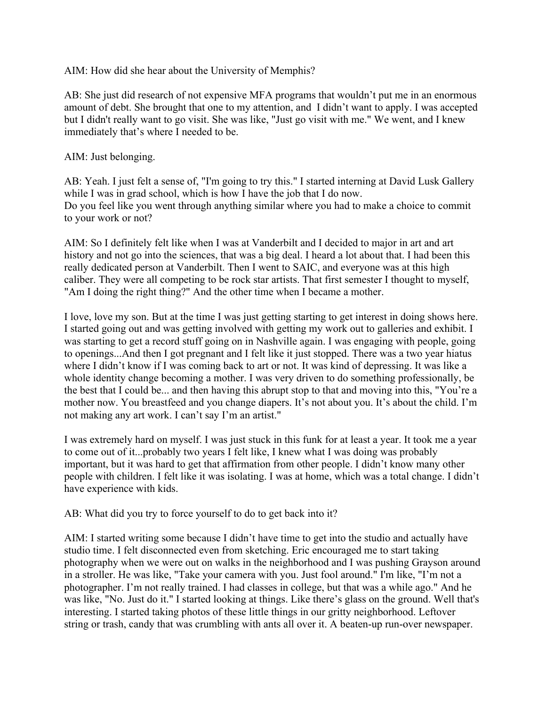AIM: How did she hear about the University of Memphis?

AB: She just did research of not expensive MFA programs that wouldn't put me in an enormous amount of debt. She brought that one to my attention, and I didn't want to apply. I was accepted but I didn't really want to go visit. She was like, "Just go visit with me." We went, and I knew immediately that's where I needed to be.

AIM: Just belonging.

AB: Yeah. I just felt a sense of, "I'm going to try this." I started interning at David Lusk Gallery while I was in grad school, which is how I have the job that I do now. Do you feel like you went through anything similar where you had to make a choice to commit to your work or not?

AIM: So I definitely felt like when I was at Vanderbilt and I decided to major in art and art history and not go into the sciences, that was a big deal. I heard a lot about that. I had been this really dedicated person at Vanderbilt. Then I went to SAIC, and everyone was at this high caliber. They were all competing to be rock star artists. That first semester I thought to myself, "Am I doing the right thing?" And the other time when I became a mother.

I love, love my son. But at the time I was just getting starting to get interest in doing shows here. I started going out and was getting involved with getting my work out to galleries and exhibit. I was starting to get a record stuff going on in Nashville again. I was engaging with people, going to openings...And then I got pregnant and I felt like it just stopped. There was a two year hiatus where I didn't know if I was coming back to art or not. It was kind of depressing. It was like a whole identity change becoming a mother. I was very driven to do something professionally, be the best that I could be... and then having this abrupt stop to that and moving into this, "You're a mother now. You breastfeed and you change diapers. It's not about you. It's about the child. I'm not making any art work. I can't say I'm an artist."

I was extremely hard on myself. I was just stuck in this funk for at least a year. It took me a year to come out of it...probably two years I felt like, I knew what I was doing was probably important, but it was hard to get that affirmation from other people. I didn't know many other people with children. I felt like it was isolating. I was at home, which was a total change. I didn't have experience with kids.

AB: What did you try to force yourself to do to get back into it?

AIM: I started writing some because I didn't have time to get into the studio and actually have studio time. I felt disconnected even from sketching. Eric encouraged me to start taking photography when we were out on walks in the neighborhood and I was pushing Grayson around in a stroller. He was like, "Take your camera with you. Just fool around." I'm like, "I'm not a photographer. I'm not really trained. I had classes in college, but that was a while ago." And he was like, "No. Just do it." I started looking at things. Like there's glass on the ground. Well that's interesting. I started taking photos of these little things in our gritty neighborhood. Leftover string or trash, candy that was crumbling with ants all over it. A beaten-up run-over newspaper.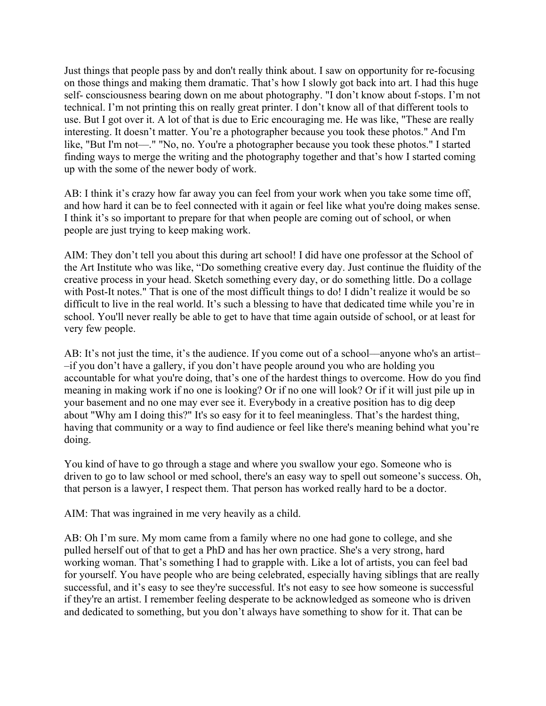Just things that people pass by and don't really think about. I saw on opportunity for re-focusing on those things and making them dramatic. That's how I slowly got back into art. I had this huge self- consciousness bearing down on me about photography. "I don't know about f-stops. I'm not technical. I'm not printing this on really great printer. I don't know all of that different tools to use. But I got over it. A lot of that is due to Eric encouraging me. He was like, "These are really interesting. It doesn't matter. You're a photographer because you took these photos." And I'm like, "But I'm not—." "No, no. You're a photographer because you took these photos." I started finding ways to merge the writing and the photography together and that's how I started coming up with the some of the newer body of work.

AB: I think it's crazy how far away you can feel from your work when you take some time off, and how hard it can be to feel connected with it again or feel like what you're doing makes sense. I think it's so important to prepare for that when people are coming out of school, or when people are just trying to keep making work.

AIM: They don't tell you about this during art school! I did have one professor at the School of the Art Institute who was like, "Do something creative every day. Just continue the fluidity of the creative process in your head. Sketch something every day, or do something little. Do a collage with Post-It notes." That is one of the most difficult things to do! I didn't realize it would be so difficult to live in the real world. It's such a blessing to have that dedicated time while you're in school. You'll never really be able to get to have that time again outside of school, or at least for very few people.

AB: It's not just the time, it's the audience. If you come out of a school––anyone who's an artist– –if you don't have a gallery, if you don't have people around you who are holding you accountable for what you're doing, that's one of the hardest things to overcome. How do you find meaning in making work if no one is looking? Or if no one will look? Or if it will just pile up in your basement and no one may ever see it. Everybody in a creative position has to dig deep about "Why am I doing this?" It's so easy for it to feel meaningless. That's the hardest thing, having that community or a way to find audience or feel like there's meaning behind what you're doing.

You kind of have to go through a stage and where you swallow your ego. Someone who is driven to go to law school or med school, there's an easy way to spell out someone's success. Oh, that person is a lawyer, I respect them. That person has worked really hard to be a doctor.

AIM: That was ingrained in me very heavily as a child.

AB: Oh I'm sure. My mom came from a family where no one had gone to college, and she pulled herself out of that to get a PhD and has her own practice. She's a very strong, hard working woman. That's something I had to grapple with. Like a lot of artists, you can feel bad for yourself. You have people who are being celebrated, especially having siblings that are really successful, and it's easy to see they're successful. It's not easy to see how someone is successful if they're an artist. I remember feeling desperate to be acknowledged as someone who is driven and dedicated to something, but you don't always have something to show for it. That can be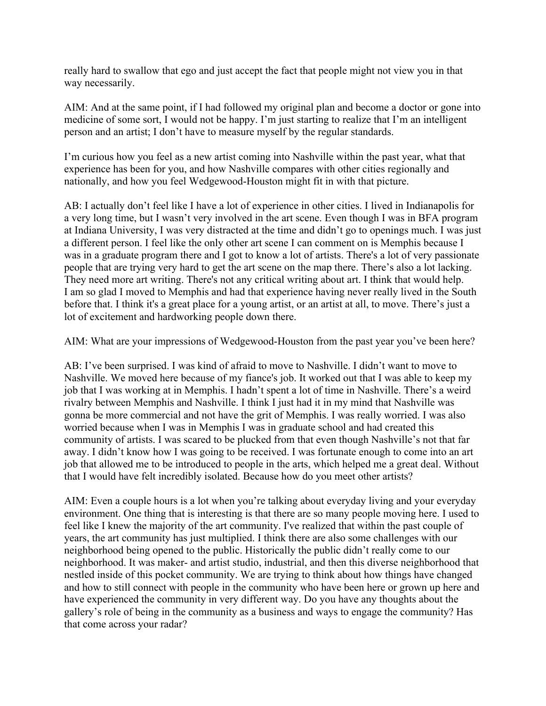really hard to swallow that ego and just accept the fact that people might not view you in that way necessarily.

AIM: And at the same point, if I had followed my original plan and become a doctor or gone into medicine of some sort, I would not be happy. I'm just starting to realize that I'm an intelligent person and an artist; I don't have to measure myself by the regular standards.

I'm curious how you feel as a new artist coming into Nashville within the past year, what that experience has been for you, and how Nashville compares with other cities regionally and nationally, and how you feel Wedgewood-Houston might fit in with that picture.

AB: I actually don't feel like I have a lot of experience in other cities. I lived in Indianapolis for a very long time, but I wasn't very involved in the art scene. Even though I was in BFA program at Indiana University, I was very distracted at the time and didn't go to openings much. I was just a different person. I feel like the only other art scene I can comment on is Memphis because I was in a graduate program there and I got to know a lot of artists. There's a lot of very passionate people that are trying very hard to get the art scene on the map there. There's also a lot lacking. They need more art writing. There's not any critical writing about art. I think that would help. I am so glad I moved to Memphis and had that experience having never really lived in the South before that. I think it's a great place for a young artist, or an artist at all, to move. There's just a lot of excitement and hardworking people down there.

AIM: What are your impressions of Wedgewood-Houston from the past year you've been here?

AB: I've been surprised. I was kind of afraid to move to Nashville. I didn't want to move to Nashville. We moved here because of my fiance's job. It worked out that I was able to keep my job that I was working at in Memphis. I hadn't spent a lot of time in Nashville. There's a weird rivalry between Memphis and Nashville. I think I just had it in my mind that Nashville was gonna be more commercial and not have the grit of Memphis. I was really worried. I was also worried because when I was in Memphis I was in graduate school and had created this community of artists. I was scared to be plucked from that even though Nashville's not that far away. I didn't know how I was going to be received. I was fortunate enough to come into an art job that allowed me to be introduced to people in the arts, which helped me a great deal. Without that I would have felt incredibly isolated. Because how do you meet other artists?

AIM: Even a couple hours is a lot when you're talking about everyday living and your everyday environment. One thing that is interesting is that there are so many people moving here. I used to feel like I knew the majority of the art community. I've realized that within the past couple of years, the art community has just multiplied. I think there are also some challenges with our neighborhood being opened to the public. Historically the public didn't really come to our neighborhood. It was maker- and artist studio, industrial, and then this diverse neighborhood that nestled inside of this pocket community. We are trying to think about how things have changed and how to still connect with people in the community who have been here or grown up here and have experienced the community in very different way. Do you have any thoughts about the gallery's role of being in the community as a business and ways to engage the community? Has that come across your radar?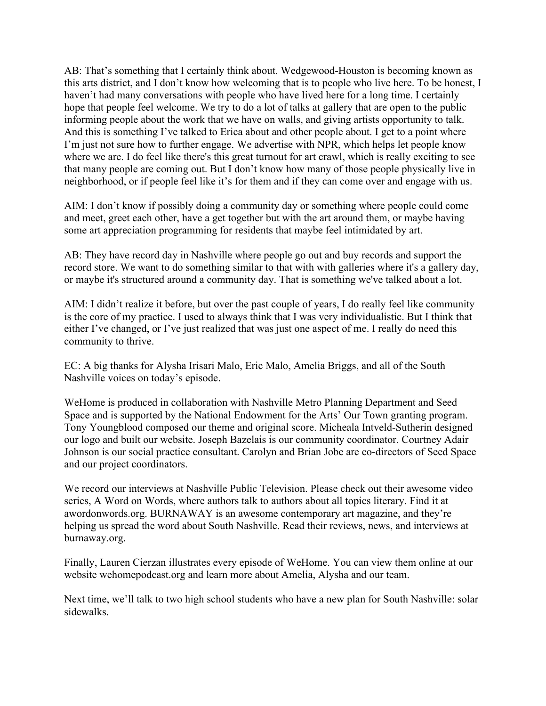AB: That's something that I certainly think about. Wedgewood-Houston is becoming known as this arts district, and I don't know how welcoming that is to people who live here. To be honest, I haven't had many conversations with people who have lived here for a long time. I certainly hope that people feel welcome. We try to do a lot of talks at gallery that are open to the public informing people about the work that we have on walls, and giving artists opportunity to talk. And this is something I've talked to Erica about and other people about. I get to a point where I'm just not sure how to further engage. We advertise with NPR, which helps let people know where we are. I do feel like there's this great turnout for art crawl, which is really exciting to see that many people are coming out. But I don't know how many of those people physically live in neighborhood, or if people feel like it's for them and if they can come over and engage with us.

AIM: I don't know if possibly doing a community day or something where people could come and meet, greet each other, have a get together but with the art around them, or maybe having some art appreciation programming for residents that maybe feel intimidated by art.

AB: They have record day in Nashville where people go out and buy records and support the record store. We want to do something similar to that with with galleries where it's a gallery day, or maybe it's structured around a community day. That is something we've talked about a lot.

AIM: I didn't realize it before, but over the past couple of years, I do really feel like community is the core of my practice. I used to always think that I was very individualistic. But I think that either I've changed, or I've just realized that was just one aspect of me. I really do need this community to thrive.

EC: A big thanks for Alysha Irisari Malo, Eric Malo, Amelia Briggs, and all of the South Nashville voices on today's episode.

WeHome is produced in collaboration with Nashville Metro Planning Department and Seed Space and is supported by the National Endowment for the Arts' Our Town granting program. Tony Youngblood composed our theme and original score. Micheala Intveld-Sutherin designed our logo and built our website. Joseph Bazelais is our community coordinator. Courtney Adair Johnson is our social practice consultant. Carolyn and Brian Jobe are co-directors of Seed Space and our project coordinators.

We record our interviews at Nashville Public Television. Please check out their awesome video series, A Word on Words, where authors talk to authors about all topics literary. Find it at awordonwords.org. BURNAWAY is an awesome contemporary art magazine, and they're helping us spread the word about South Nashville. Read their reviews, news, and interviews at burnaway.org.

Finally, Lauren Cierzan illustrates every episode of WeHome. You can view them online at our website wehomepodcast.org and learn more about Amelia, Alysha and our team.

Next time, we'll talk to two high school students who have a new plan for South Nashville: solar sidewalks.